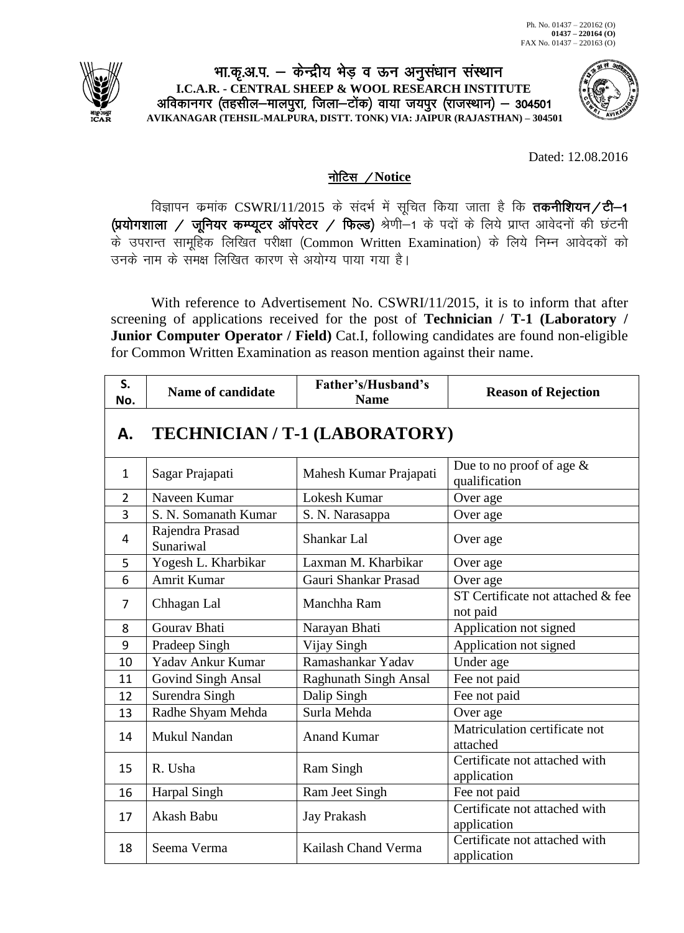

## भा.कृ.अ.प. — केन्द्रीय भेड़ व ऊन अनुसंधान संस्थान **I.C.A.R. - CENTRAL SHEEP & WOOL RESEARCH INSTITUTE** अविकानगर (तहसील—मालपुरा, जिला—टोंक) वाया जयपुर (राजस्थान) — 304501 **AVIKANAGAR (TEHSIL-MALPURA, DISTT. TONK) VIA: JAIPUR (RAJASTHAN) – 304501**



Dated: 12.08.2016

## नोटिस / Notice

विज्ञापन कमांक CSWRI/11/2015 के संदर्भ में सूचित किया जाता है कि तकनीशियन/टी-1 (प्रयोगशाला / जूनियर कम्प्यूटर ऑपरेटर / फिल्ड) श्रेणी-1 के पदों के लिये प्राप्त आवेदनों की छंटनी के उपरान्त सामूहिक लिखित परीक्षा (Common Written Examination) के लिये निम्न आवेदकों को उनके नाम के समक्ष लिखित कारण से अयोग्य पाया गया है।

With reference to Advertisement No. CSWRI/11/2015, it is to inform that after screening of applications received for the post of **Technician / T-1 (Laboratory / Junior Computer Operator / Field)** Cat.I, following candidates are found non-eligible for Common Written Examination as reason mention against their name.

| S.<br>No.      | <b>Name of candidate</b>     | Father's/Husband's<br><b>Name</b> | <b>Reason of Rejection</b>                    |
|----------------|------------------------------|-----------------------------------|-----------------------------------------------|
| А.             |                              | TECHNICIAN / T-1 (LABORATORY)     |                                               |
| $\mathbf{1}$   | Sagar Prajapati              | Mahesh Kumar Prajapati            | Due to no proof of age $\&$<br>qualification  |
| $\overline{2}$ | Naveen Kumar                 | Lokesh Kumar                      | Over age                                      |
| 3              | S. N. Somanath Kumar         | S. N. Narasappa                   | Over age                                      |
| 4              | Rajendra Prasad<br>Sunariwal | Shankar Lal                       | Over age                                      |
| 5              | Yogesh L. Kharbikar          | Laxman M. Kharbikar               | Over age                                      |
| 6              | <b>Amrit Kumar</b>           | Gauri Shankar Prasad              | Over age                                      |
| $\overline{7}$ | Chhagan Lal                  | Manchha Ram                       | ST Certificate not attached & fee<br>not paid |
| 8              | Gourav Bhati                 | Narayan Bhati                     | Application not signed                        |
| 9              | Pradeep Singh                | Vijay Singh                       | Application not signed                        |
| 10             | Yadav Ankur Kumar            | Ramashankar Yadav                 | Under age                                     |
| 11             | <b>Govind Singh Ansal</b>    | <b>Raghunath Singh Ansal</b>      | Fee not paid                                  |
| 12             | Surendra Singh               | Dalip Singh                       | Fee not paid                                  |
| 13             | Radhe Shyam Mehda            | Surla Mehda                       | Over age                                      |
| 14             | Mukul Nandan                 | <b>Anand Kumar</b>                | Matriculation certificate not<br>attached     |
| 15             | R. Usha                      | Ram Singh                         | Certificate not attached with<br>application  |
| 16             | <b>Harpal Singh</b>          | Ram Jeet Singh                    | Fee not paid                                  |
| 17             | Akash Babu                   | <b>Jay Prakash</b>                | Certificate not attached with<br>application  |
| 18             | Seema Verma                  | Kailash Chand Verma               | Certificate not attached with<br>application  |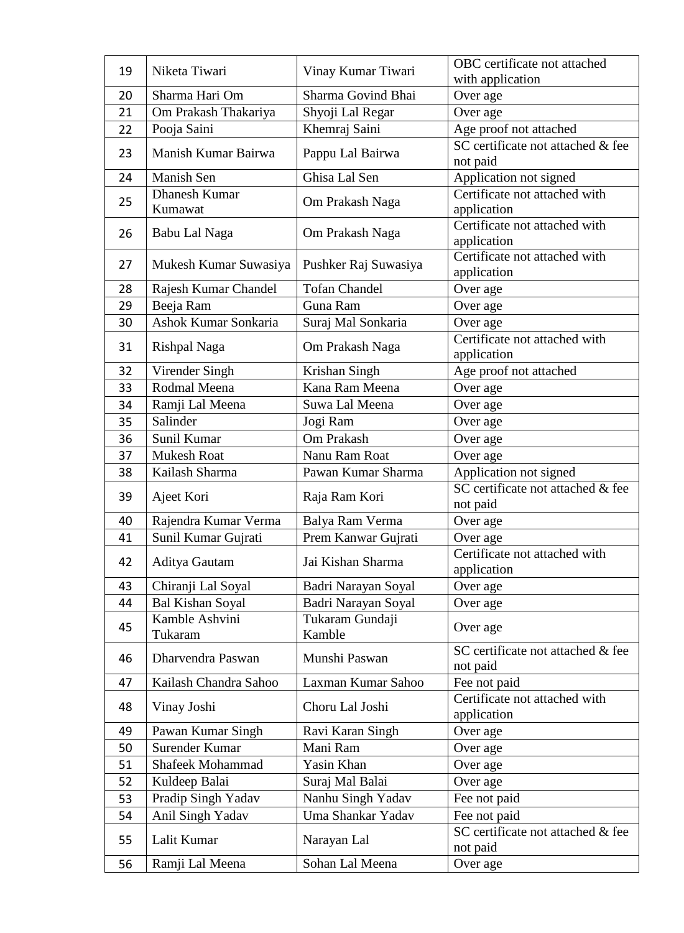| 19 | Niketa Tiwari           | Vinay Kumar Tiwari   | OBC certificate not attached                  |
|----|-------------------------|----------------------|-----------------------------------------------|
|    |                         |                      | with application                              |
| 20 | Sharma Hari Om          | Sharma Govind Bhai   | Over age                                      |
| 21 | Om Prakash Thakariya    | Shyoji Lal Regar     | Over age                                      |
| 22 | Pooja Saini             | Khemraj Saini        | Age proof not attached                        |
| 23 | Manish Kumar Bairwa     | Pappu Lal Bairwa     | SC certificate not attached & fee<br>not paid |
| 24 | Manish Sen              | Ghisa Lal Sen        | Application not signed                        |
|    | <b>Dhanesh Kumar</b>    |                      | Certificate not attached with                 |
| 25 | Kumawat                 | Om Prakash Naga      | application                                   |
| 26 | Babu Lal Naga           | Om Prakash Naga      | Certificate not attached with                 |
|    |                         |                      | application                                   |
| 27 | Mukesh Kumar Suwasiya   | Pushker Raj Suwasiya | Certificate not attached with                 |
|    |                         |                      | application                                   |
| 28 | Rajesh Kumar Chandel    | <b>Tofan Chandel</b> | Over age                                      |
| 29 | Beeja Ram               | Guna Ram             | Over age                                      |
| 30 | Ashok Kumar Sonkaria    | Suraj Mal Sonkaria   | Over age                                      |
| 31 | Rishpal Naga            | Om Prakash Naga      | Certificate not attached with                 |
|    |                         |                      | application                                   |
| 32 | Virender Singh          | Krishan Singh        | Age proof not attached                        |
| 33 | Rodmal Meena            | Kana Ram Meena       | Over age                                      |
| 34 | Ramji Lal Meena         | Suwa Lal Meena       | Over age                                      |
| 35 | Salinder                | Jogi Ram             | Over age                                      |
| 36 | Sunil Kumar             | Om Prakash           | Over age                                      |
| 37 | <b>Mukesh Roat</b>      | Nanu Ram Roat        | Over age                                      |
| 38 | Kailash Sharma          | Pawan Kumar Sharma   | Application not signed                        |
| 39 | Ajeet Kori              | Raja Ram Kori        | SC certificate not attached & fee<br>not paid |
| 40 | Rajendra Kumar Verma    | Balya Ram Verma      | Over age                                      |
| 41 | Sunil Kumar Gujrati     | Prem Kanwar Gujrati  | Over age                                      |
|    |                         |                      | Certificate not attached with                 |
| 42 | Aditya Gautam           | Jai Kishan Sharma    | application                                   |
| 43 | Chiranji Lal Soyal      | Badri Narayan Soyal  | Over age                                      |
| 44 | <b>Bal Kishan Soyal</b> | Badri Narayan Soyal  | Over age                                      |
| 45 | Kamble Ashvini          | Tukaram Gundaji      | Over age                                      |
|    | Tukaram                 | Kamble               |                                               |
| 46 | Dharvendra Paswan       | Munshi Paswan        | SC certificate not attached & fee             |
|    |                         |                      | not paid                                      |
| 47 | Kailash Chandra Sahoo   | Laxman Kumar Sahoo   | Fee not paid                                  |
| 48 | Vinay Joshi             | Choru Lal Joshi      | Certificate not attached with                 |
|    |                         |                      | application                                   |
| 49 | Pawan Kumar Singh       | Ravi Karan Singh     | Over age                                      |
| 50 | Surender Kumar          | Mani Ram             | Over age                                      |
| 51 | <b>Shafeek Mohammad</b> | Yasin Khan           | Over age                                      |
| 52 | Kuldeep Balai           | Suraj Mal Balai      | Over age                                      |
| 53 | Pradip Singh Yadav      | Nanhu Singh Yadav    | Fee not paid                                  |
| 54 | Anil Singh Yadav        | Uma Shankar Yadav    | Fee not paid                                  |
| 55 | Lalit Kumar             | Narayan Lal          | SC certificate not attached & fee<br>not paid |
| 56 | Ramji Lal Meena         | Sohan Lal Meena      | Over age                                      |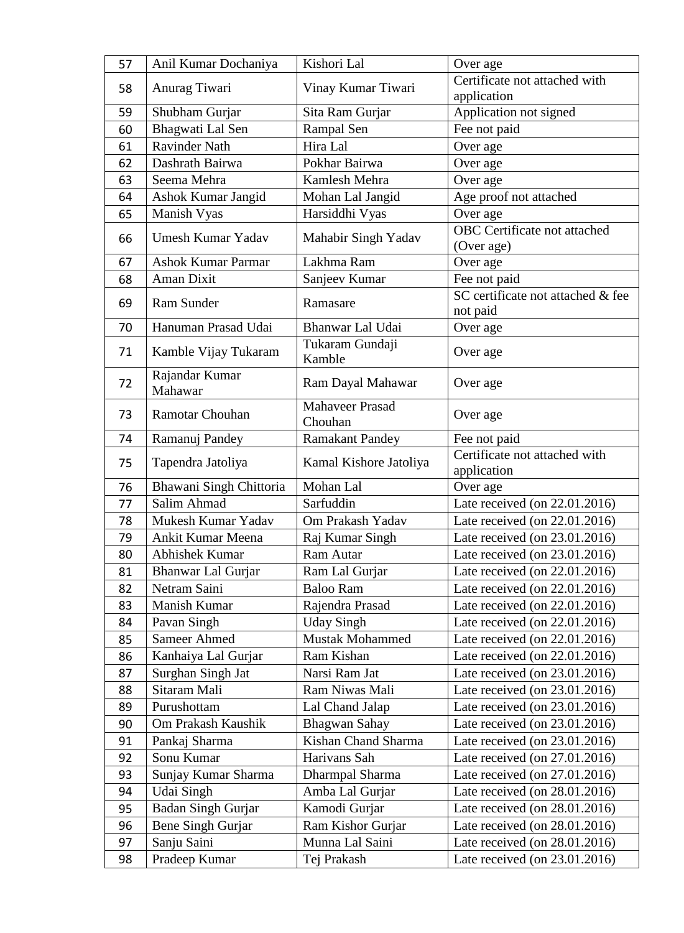| 57 | Anil Kumar Dochaniya      | Kishori Lal                       | Over age                                     |
|----|---------------------------|-----------------------------------|----------------------------------------------|
| 58 | Anurag Tiwari             | Vinay Kumar Tiwari                | Certificate not attached with                |
|    |                           |                                   | application                                  |
| 59 | Shubham Gurjar            | Sita Ram Gurjar                   | Application not signed                       |
| 60 | Bhagwati Lal Sen          | Rampal Sen                        | Fee not paid                                 |
| 61 | <b>Ravinder Nath</b>      | Hira Lal                          | Over age                                     |
| 62 | Dashrath Bairwa           | Pokhar Bairwa                     | Over age                                     |
| 63 | Seema Mehra               | Kamlesh Mehra                     | Over age                                     |
| 64 | Ashok Kumar Jangid        | Mohan Lal Jangid                  | Age proof not attached                       |
| 65 | Manish Vyas               | Harsiddhi Vyas                    | Over age                                     |
| 66 | <b>Umesh Kumar Yadav</b>  | Mahabir Singh Yadav               | OBC Certificate not attached<br>(Over age)   |
| 67 | <b>Ashok Kumar Parmar</b> | Lakhma Ram                        | Over age                                     |
| 68 | <b>Aman Dixit</b>         | Sanjeev Kumar                     | Fee not paid                                 |
|    |                           |                                   | SC certificate not attached & fee            |
| 69 | Ram Sunder                | Ramasare                          | not paid                                     |
| 70 | Hanuman Prasad Udai       | Bhanwar Lal Udai                  | Over age                                     |
| 71 | Kamble Vijay Tukaram      | Tukaram Gundaji<br>Kamble         | Over age                                     |
| 72 | Rajandar Kumar<br>Mahawar | Ram Dayal Mahawar                 | Over age                                     |
| 73 | Ramotar Chouhan           | <b>Mahaveer Prasad</b><br>Chouhan | Over age                                     |
| 74 | Ramanuj Pandey            | <b>Ramakant Pandey</b>            | Fee not paid                                 |
| 75 | Tapendra Jatoliya         | Kamal Kishore Jatoliya            | Certificate not attached with<br>application |
| 76 | Bhawani Singh Chittoria   | Mohan Lal                         | Over age                                     |
| 77 | Salim Ahmad               | Sarfuddin                         | Late received (on 22.01.2016)                |
| 78 | Mukesh Kumar Yadav        | Om Prakash Yadav                  | Late received (on 22.01.2016)                |
| 79 | Ankit Kumar Meena         | Raj Kumar Singh                   | Late received (on 23.01.2016)                |
| 80 | Abhishek Kumar            | Ram Autar                         | Late received (on 23.01.2016)                |
| 81 | Bhanwar Lal Gurjar        | Ram Lal Gurjar                    | Late received (on 22.01.2016)                |
| 82 | Netram Saini              | <b>Baloo Ram</b>                  | Late received (on 22.01.2016)                |
| 83 | Manish Kumar              | Rajendra Prasad                   | Late received (on 22.01.2016)                |
| 84 | Pavan Singh               | <b>Uday Singh</b>                 | Late received (on 22.01.2016)                |
| 85 | Sameer Ahmed              | <b>Mustak Mohammed</b>            | Late received (on 22.01.2016)                |
| 86 | Kanhaiya Lal Gurjar       | Ram Kishan                        | Late received (on 22.01.2016)                |
| 87 | Surghan Singh Jat         | Narsi Ram Jat                     | Late received (on 23.01.2016)                |
| 88 | Sitaram Mali              | Ram Niwas Mali                    | Late received (on 23.01.2016)                |
| 89 | Purushottam               | Lal Chand Jalap                   | Late received (on 23.01.2016)                |
| 90 | Om Prakash Kaushik        | Bhagwan Sahay                     | Late received (on 23.01.2016)                |
| 91 | Pankaj Sharma             | Kishan Chand Sharma               | Late received (on 23.01.2016)                |
| 92 | Sonu Kumar                | Harivans Sah                      | Late received (on 27.01.2016)                |
| 93 | Sunjay Kumar Sharma       | Dharmpal Sharma                   | Late received (on 27.01.2016)                |
| 94 | Udai Singh                | Amba Lal Gurjar                   | Late received (on 28.01.2016)                |
| 95 | Badan Singh Gurjar        | Kamodi Gurjar                     | Late received (on 28.01.2016)                |
| 96 | Bene Singh Gurjar         | Ram Kishor Gurjar                 | Late received (on 28.01.2016)                |
| 97 | Sanju Saini               | Munna Lal Saini                   | Late received (on 28.01.2016)                |
| 98 | Pradeep Kumar             | Tej Prakash                       | Late received (on 23.01.2016)                |
|    |                           |                                   |                                              |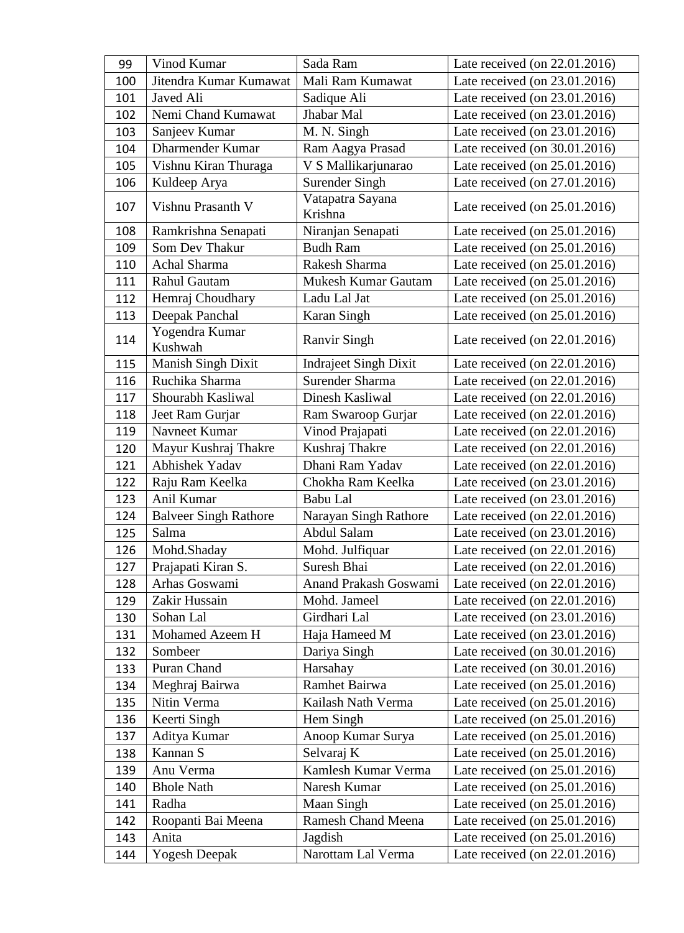| 99  | Vinod Kumar                  | Sada Ram                     | Late received (on 22.01.2016)    |
|-----|------------------------------|------------------------------|----------------------------------|
| 100 | Jitendra Kumar Kumawat       | Mali Ram Kumawat             | Late received (on 23.01.2016)    |
| 101 | Javed Ali                    | Sadique Ali                  | Late received (on 23.01.2016)    |
| 102 | Nemi Chand Kumawat           | Jhabar Mal                   | Late received (on 23.01.2016)    |
| 103 | Sanjeev Kumar                | M. N. Singh                  | Late received (on 23.01.2016)    |
| 104 | <b>Dharmender Kumar</b>      | Ram Aagya Prasad             | Late received (on 30.01.2016)    |
| 105 | Vishnu Kiran Thuraga         | V S Mallikarjunarao          | Late received (on 25.01.2016)    |
| 106 | Kuldeep Arya                 | <b>Surender Singh</b>        | Late received (on 27.01.2016)    |
| 107 | Vishnu Prasanth V            | Vatapatra Sayana<br>Krishna  | Late received (on 25.01.2016)    |
| 108 | Ramkrishna Senapati          | Niranjan Senapati            | Late received (on 25.01.2016)    |
| 109 | Som Dev Thakur               | <b>Budh Ram</b>              | Late received (on 25.01.2016)    |
| 110 | Achal Sharma                 | Rakesh Sharma                | Late received (on 25.01.2016)    |
| 111 | <b>Rahul Gautam</b>          | <b>Mukesh Kumar Gautam</b>   | Late received (on 25.01.2016)    |
| 112 | Hemraj Choudhary             | Ladu Lal Jat                 | Late received (on 25.01.2016)    |
| 113 | Deepak Panchal               | Karan Singh                  | Late received (on 25.01.2016)    |
| 114 | Yogendra Kumar<br>Kushwah    | <b>Ranvir Singh</b>          | Late received (on 22.01.2016)    |
| 115 | Manish Singh Dixit           | <b>Indraject Singh Dixit</b> | Late received (on 22.01.2016)    |
| 116 | Ruchika Sharma               | Surender Sharma              | Late received (on 22.01.2016)    |
| 117 | Shourabh Kasliwal            | Dinesh Kasliwal              | Late received (on 22.01.2016)    |
| 118 | Jeet Ram Gurjar              | Ram Swaroop Gurjar           | Late received (on 22.01.2016)    |
| 119 | Navneet Kumar                | Vinod Prajapati              | Late received (on 22.01.2016)    |
| 120 | Mayur Kushraj Thakre         | Kushraj Thakre               | Late received (on 22.01.2016)    |
| 121 | <b>Abhishek Yadav</b>        | Dhani Ram Yadav              | Late received (on 22.01.2016)    |
| 122 | Raju Ram Keelka              | Chokha Ram Keelka            | Late received (on 23.01.2016)    |
| 123 | Anil Kumar                   | Babu Lal                     | Late received (on 23.01.2016)    |
| 124 | <b>Balveer Singh Rathore</b> | Narayan Singh Rathore        | Late received (on 22.01.2016)    |
| 125 | Salma                        | <b>Abdul Salam</b>           | Late received (on 23.01.2016)    |
| 126 | Mohd.Shaday                  | Mohd. Julfiquar              | Late received (on 22.01.2016)    |
| 127 | Prajapati Kiran S.           | Suresh Bhai                  | Late received (on 22.01.2016)    |
| 128 | Arhas Goswami                | Anand Prakash Goswami        | Late received (on 22.01.2016)    |
| 129 | Zakir Hussain                | Mohd. Jameel                 | Late received (on 22.01.2016)    |
| 130 | Sohan Lal                    | Girdhari Lal                 | Late received (on 23.01.2016)    |
| 131 | Mohamed Azeem H              | Haja Hameed M                | Late received (on 23.01.2016)    |
| 132 | Sombeer                      | Dariya Singh                 | Late received (on 30.01.2016)    |
| 133 | Puran Chand                  | Harsahay                     | Late received (on 30.01.2016)    |
| 134 | Meghraj Bairwa               | Ramhet Bairwa                | Late received (on 25.01.2016)    |
| 135 | Nitin Verma                  | Kailash Nath Verma           | Late received (on 25.01.2016)    |
| 136 | Keerti Singh                 | Hem Singh                    | Late received (on $25.01.2016$ ) |
| 137 | Aditya Kumar                 | Anoop Kumar Surya            | Late received (on 25.01.2016)    |
| 138 | Kannan S                     | Selvaraj K                   | Late received (on 25.01.2016)    |
| 139 | Anu Verma                    | Kamlesh Kumar Verma          | Late received (on 25.01.2016)    |
| 140 | <b>Bhole Nath</b>            | Naresh Kumar                 | Late received (on 25.01.2016)    |
| 141 | Radha                        | Maan Singh                   | Late received (on 25.01.2016)    |
| 142 | Roopanti Bai Meena           | <b>Ramesh Chand Meena</b>    | Late received (on $25.01.2016$ ) |
| 143 | Anita                        | Jagdish                      | Late received (on 25.01.2016)    |
| 144 | Yogesh Deepak                | Narottam Lal Verma           | Late received (on $22.01.2016$ ) |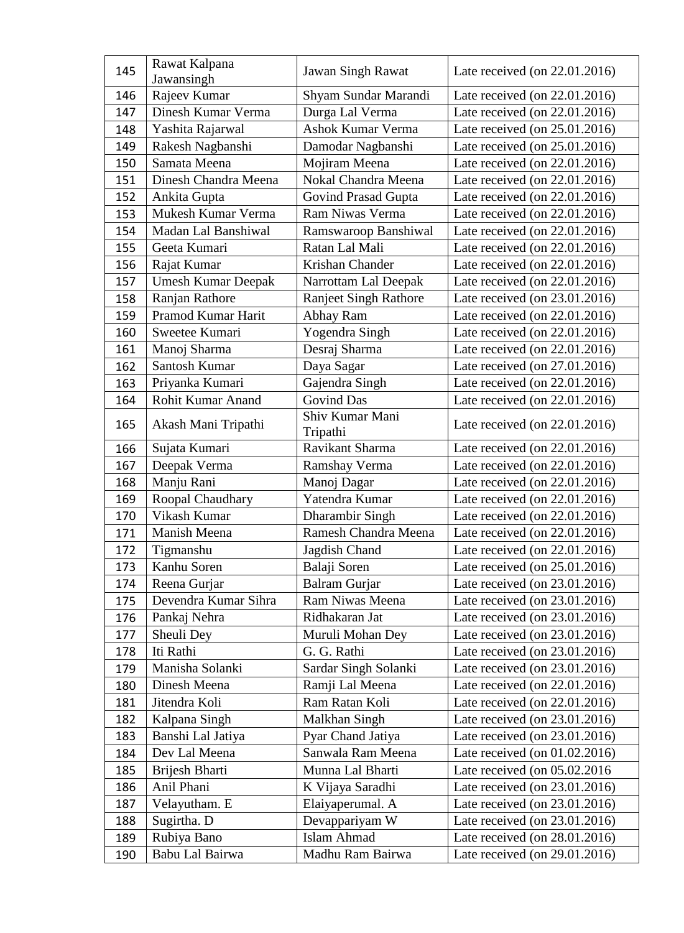| 145 | Rawat Kalpana<br>Jawansingh | <b>Jawan Singh Rawat</b>     | Late received (on 22.01.2016)    |
|-----|-----------------------------|------------------------------|----------------------------------|
| 146 | Rajeev Kumar                | Shyam Sundar Marandi         | Late received (on 22.01.2016)    |
| 147 | Dinesh Kumar Verma          | Durga Lal Verma              | Late received (on 22.01.2016)    |
| 148 | Yashita Rajarwal            | Ashok Kumar Verma            | Late received (on 25.01.2016)    |
| 149 | Rakesh Nagbanshi            | Damodar Nagbanshi            | Late received (on 25.01.2016)    |
| 150 | Samata Meena                | Mojiram Meena                | Late received (on 22.01.2016)    |
| 151 | Dinesh Chandra Meena        | Nokal Chandra Meena          | Late received (on 22.01.2016)    |
| 152 | Ankita Gupta                | <b>Govind Prasad Gupta</b>   | Late received (on 22.01.2016)    |
| 153 | Mukesh Kumar Verma          | Ram Niwas Verma              | Late received (on 22.01.2016)    |
| 154 | Madan Lal Banshiwal         | Ramswaroop Banshiwal         | Late received (on 22.01.2016)    |
| 155 | Geeta Kumari                | Ratan Lal Mali               | Late received (on 22.01.2016)    |
| 156 | Rajat Kumar                 | Krishan Chander              | Late received (on 22.01.2016)    |
| 157 | <b>Umesh Kumar Deepak</b>   | Narrottam Lal Deepak         | Late received (on 22.01.2016)    |
| 158 | Ranjan Rathore              | <b>Ranjeet Singh Rathore</b> | Late received (on 23.01.2016)    |
| 159 | Pramod Kumar Harit          | Abhay Ram                    | Late received (on 22.01.2016)    |
| 160 | Sweetee Kumari              | Yogendra Singh               | Late received (on 22.01.2016)    |
| 161 | Manoj Sharma                | Desraj Sharma                | Late received (on 22.01.2016)    |
| 162 | Santosh Kumar               | Daya Sagar                   | Late received (on 27.01.2016)    |
| 163 | Priyanka Kumari             | Gajendra Singh               | Late received (on 22.01.2016)    |
| 164 | Rohit Kumar Anand           | <b>Govind Das</b>            | Late received (on 22.01.2016)    |
| 165 | Akash Mani Tripathi         | Shiv Kumar Mani<br>Tripathi  | Late received (on 22.01.2016)    |
| 166 | Sujata Kumari               | Ravikant Sharma              | Late received (on 22.01.2016)    |
| 167 | Deepak Verma                | Ramshay Verma                | Late received (on 22.01.2016)    |
| 168 | Manju Rani                  | Manoj Dagar                  | Late received (on 22.01.2016)    |
| 169 | Roopal Chaudhary            | Yatendra Kumar               | Late received (on 22.01.2016)    |
| 170 | Vikash Kumar                | Dharambir Singh              | Late received (on 22.01.2016)    |
| 171 | Manish Meena                | Ramesh Chandra Meena         | Late received (on 22.01.2016)    |
| 172 | Tigmanshu                   | Jagdish Chand                | Late received (on 22.01.2016)    |
| 173 | Kanhu Soren                 | Balaji Soren                 | Late received (on 25.01.2016)    |
| 174 | Reena Gurjar                | <b>Balram Gurjar</b>         | Late received (on 23.01.2016)    |
| 175 | Devendra Kumar Sihra        | Ram Niwas Meena              | Late received (on 23.01.2016)    |
| 176 | Pankaj Nehra                | Ridhakaran Jat               | Late received (on 23.01.2016)    |
| 177 | Sheuli Dey                  | Muruli Mohan Dey             | Late received (on 23.01.2016)    |
| 178 | Iti Rathi                   | G. G. Rathi                  | Late received (on 23.01.2016)    |
| 179 | Manisha Solanki             | Sardar Singh Solanki         | Late received (on 23.01.2016)    |
| 180 | Dinesh Meena                | Ramji Lal Meena              | Late received (on 22.01.2016)    |
| 181 | Jitendra Koli               | Ram Ratan Koli               | Late received (on 22.01.2016)    |
| 182 | Kalpana Singh               | Malkhan Singh                | Late received (on 23.01.2016)    |
| 183 | Banshi Lal Jatiya           | Pyar Chand Jatiya            | Late received (on 23.01.2016)    |
| 184 | Dev Lal Meena               | Sanwala Ram Meena            | Late received (on $01.02.2016$ ) |
| 185 | Brijesh Bharti              | Munna Lal Bharti             | Late received (on $05.02.2016$ ) |
| 186 | Anil Phani                  | K Vijaya Saradhi             | Late received (on 23.01.2016)    |
| 187 | Velayutham. E               | Elaiyaperumal. A             | Late received (on 23.01.2016)    |
| 188 | Sugirtha. D                 | Devappariyam W               | Late received (on 23.01.2016)    |
| 189 | Rubiya Bano                 | Islam Ahmad                  | Late received (on 28.01.2016)    |
| 190 | Babu Lal Bairwa             | Madhu Ram Bairwa             | Late received (on $29.01.2016$ ) |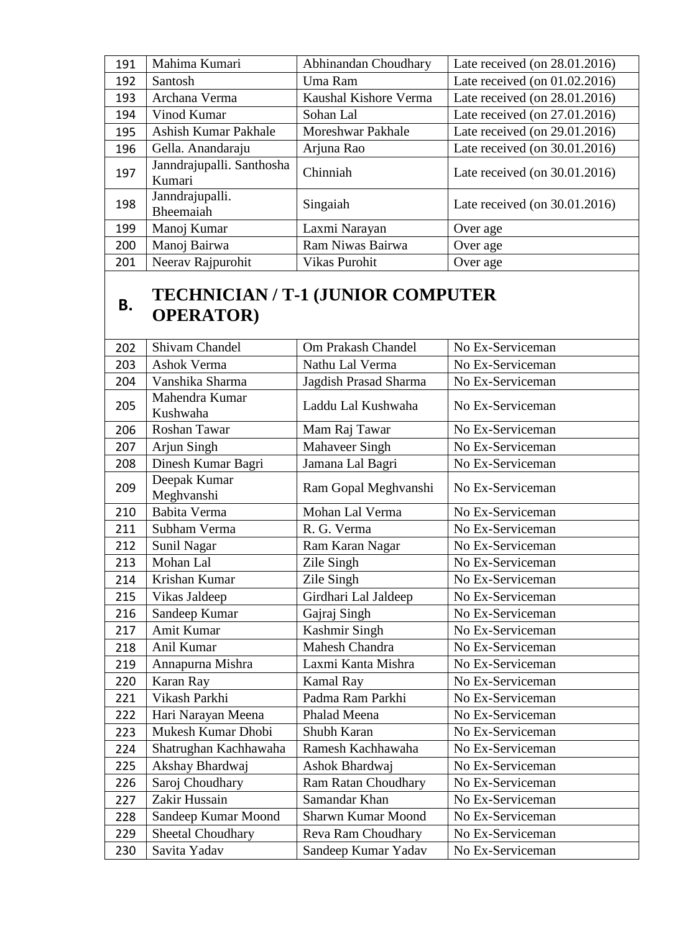| 191 | Mahima Kumari                       | Abhinandan Choudhary  | Late received (on 28.01.2016)    |
|-----|-------------------------------------|-----------------------|----------------------------------|
| 192 | <b>Santosh</b>                      | Uma Ram               | Late received (on $01.02.2016$ ) |
| 193 | Archana Verma                       | Kaushal Kishore Verma | Late received (on 28.01.2016)    |
| 194 | Vinod Kumar                         | Sohan Lal             | Late received (on 27.01.2016)    |
| 195 | Ashish Kumar Pakhale                | Moreshwar Pakhale     | Late received (on 29.01.2016)    |
| 196 | Gella. Anandaraju                   | Arjuna Rao            | Late received (on 30.01.2016)    |
| 197 | Janndrajupalli. Santhosha<br>Kumari | Chinniah              | Late received (on 30.01.2016)    |
| 198 | Janndrajupalli.<br>Bheemaiah        | Singaiah              | Late received (on $30.01.2016$ ) |
| 199 | Manoj Kumar                         | Laxmi Narayan         | Over age                         |
| 200 | Manoj Bairwa                        | Ram Niwas Bairwa      | Over age                         |
| 201 | Neerav Rajpurohit                   | <b>Vikas Purohit</b>  | Over age                         |

## **B. TECHNICIAN** / **T-1** (JUNIOR COMPUTER **OPERATOR)**

| 202 | Shivam Chandel             | Om Prakash Chandel         | No Ex-Serviceman |
|-----|----------------------------|----------------------------|------------------|
| 203 | <b>Ashok Verma</b>         | Nathu Lal Verma            | No Ex-Serviceman |
| 204 | Vanshika Sharma            | Jagdish Prasad Sharma      | No Ex-Serviceman |
| 205 | Mahendra Kumar<br>Kushwaha | Laddu Lal Kushwaha         | No Ex-Serviceman |
| 206 | Roshan Tawar               | Mam Raj Tawar              | No Ex-Serviceman |
| 207 | Arjun Singh                | <b>Mahaveer Singh</b>      | No Ex-Serviceman |
| 208 | Dinesh Kumar Bagri         | Jamana Lal Bagri           | No Ex-Serviceman |
| 209 | Deepak Kumar<br>Meghvanshi | Ram Gopal Meghvanshi       | No Ex-Serviceman |
| 210 | Babita Verma               | Mohan Lal Verma            | No Ex-Serviceman |
| 211 | Subham Verma               | R. G. Verma                | No Ex-Serviceman |
| 212 | Sunil Nagar                | Ram Karan Nagar            | No Ex-Serviceman |
| 213 | Mohan Lal                  | Zile Singh                 | No Ex-Serviceman |
| 214 | Krishan Kumar              | Zile Singh                 | No Ex-Serviceman |
| 215 | Vikas Jaldeep              | Girdhari Lal Jaldeep       | No Ex-Serviceman |
| 216 | Sandeep Kumar              | Gajraj Singh               | No Ex-Serviceman |
| 217 | Amit Kumar                 | Kashmir Singh              | No Ex-Serviceman |
| 218 | Anil Kumar                 | Mahesh Chandra             | No Ex-Serviceman |
| 219 | Annapurna Mishra           | Laxmi Kanta Mishra         | No Ex-Serviceman |
| 220 | Karan Ray                  | <b>Kamal Ray</b>           | No Ex-Serviceman |
| 221 | Vikash Parkhi              | Padma Ram Parkhi           | No Ex-Serviceman |
| 222 | Hari Narayan Meena         | Phalad Meena               | No Ex-Serviceman |
| 223 | Mukesh Kumar Dhobi         | Shubh Karan                | No Ex-Serviceman |
| 224 | Shatrughan Kachhawaha      | Ramesh Kachhawaha          | No Ex-Serviceman |
| 225 | Akshay Bhardwaj            | Ashok Bhardwaj             | No Ex-Serviceman |
| 226 | Saroj Choudhary            | <b>Ram Ratan Choudhary</b> | No Ex-Serviceman |
| 227 | Zakir Hussain              | Samandar Khan              | No Ex-Serviceman |
| 228 | Sandeep Kumar Moond        | <b>Sharwn Kumar Moond</b>  | No Ex-Serviceman |
| 229 | <b>Sheetal Choudhary</b>   | Reva Ram Choudhary         | No Ex-Serviceman |
| 230 | Savita Yadav               | Sandeep Kumar Yadav        | No Ex-Serviceman |
|     |                            |                            |                  |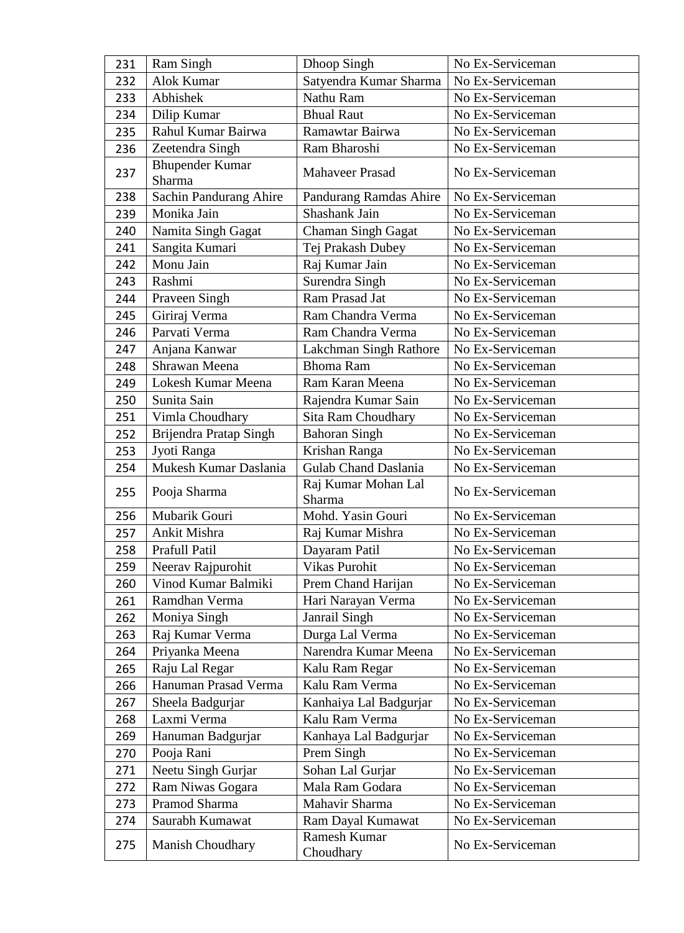| 231 | Ram Singh                        | Dhoop Singh                       | No Ex-Serviceman |
|-----|----------------------------------|-----------------------------------|------------------|
| 232 | <b>Alok Kumar</b>                | Satyendra Kumar Sharma            | No Ex-Serviceman |
| 233 | Abhishek                         | Nathu Ram                         | No Ex-Serviceman |
| 234 | Dilip Kumar                      | <b>Bhual Raut</b>                 | No Ex-Serviceman |
| 235 | Rahul Kumar Bairwa               | Ramawtar Bairwa                   | No Ex-Serviceman |
| 236 | Zeetendra Singh                  | Ram Bharoshi                      | No Ex-Serviceman |
| 237 | <b>Bhupender Kumar</b><br>Sharma | <b>Mahaveer Prasad</b>            | No Ex-Serviceman |
| 238 | Sachin Pandurang Ahire           | Pandurang Ramdas Ahire            | No Ex-Serviceman |
| 239 | Monika Jain                      | Shashank Jain                     | No Ex-Serviceman |
| 240 | Namita Singh Gagat               | Chaman Singh Gagat                | No Ex-Serviceman |
| 241 | Sangita Kumari                   | Tej Prakash Dubey                 | No Ex-Serviceman |
| 242 | Monu Jain                        | Raj Kumar Jain                    | No Ex-Serviceman |
| 243 | Rashmi                           | Surendra Singh                    | No Ex-Serviceman |
| 244 | Praveen Singh                    | Ram Prasad Jat                    | No Ex-Serviceman |
| 245 | Giriraj Verma                    | Ram Chandra Verma                 | No Ex-Serviceman |
| 246 | Parvati Verma                    | Ram Chandra Verma                 | No Ex-Serviceman |
| 247 | Anjana Kanwar                    | Lakchman Singh Rathore            | No Ex-Serviceman |
| 248 | Shrawan Meena                    | <b>Bhoma Ram</b>                  | No Ex-Serviceman |
| 249 | Lokesh Kumar Meena               | Ram Karan Meena                   | No Ex-Serviceman |
| 250 | Sunita Sain                      | Rajendra Kumar Sain               | No Ex-Serviceman |
| 251 | Vimla Choudhary                  | <b>Sita Ram Choudhary</b>         | No Ex-Serviceman |
| 252 | Brijendra Pratap Singh           | <b>Bahoran Singh</b>              | No Ex-Serviceman |
| 253 | Jyoti Ranga                      | Krishan Ranga                     | No Ex-Serviceman |
| 254 | Mukesh Kumar Daslania            | <b>Gulab Chand Daslania</b>       | No Ex-Serviceman |
| 255 | Pooja Sharma                     | Raj Kumar Mohan Lal<br>Sharma     | No Ex-Serviceman |
|     |                                  |                                   |                  |
| 256 | Mubarik Gouri                    | Mohd. Yasin Gouri                 | No Ex-Serviceman |
| 257 | Ankit Mishra                     | Raj Kumar Mishra                  | No Ex-Serviceman |
| 258 | Prafull Patil                    | Dayaram Patil                     | No Ex-Serviceman |
| 259 | Neerav Rajpurohit                | Vikas Purohit                     | No Ex-Serviceman |
| 260 | Vinod Kumar Balmiki              | Prem Chand Harijan                | No Ex-Serviceman |
| 261 | Ramdhan Verma                    | Hari Narayan Verma                | No Ex-Serviceman |
| 262 | Moniya Singh                     | Janrail Singh                     | No Ex-Serviceman |
| 263 | Raj Kumar Verma                  | Durga Lal Verma                   | No Ex-Serviceman |
| 264 | Priyanka Meena                   | Narendra Kumar Meena              | No Ex-Serviceman |
| 265 | Raju Lal Regar                   | Kalu Ram Regar                    | No Ex-Serviceman |
| 266 | Hanuman Prasad Verma             | Kalu Ram Verma                    | No Ex-Serviceman |
| 267 | Sheela Badgurjar                 | Kanhaiya Lal Badgurjar            | No Ex-Serviceman |
| 268 | Laxmi Verma                      | Kalu Ram Verma                    | No Ex-Serviceman |
| 269 | Hanuman Badgurjar                | Kanhaya Lal Badgurjar             | No Ex-Serviceman |
| 270 | Pooja Rani                       | Prem Singh                        | No Ex-Serviceman |
| 271 | Neetu Singh Gurjar               | Sohan Lal Gurjar                  | No Ex-Serviceman |
| 272 | Ram Niwas Gogara                 | Mala Ram Godara                   | No Ex-Serviceman |
| 273 | Pramod Sharma                    | Mahavir Sharma                    | No Ex-Serviceman |
| 274 | Saurabh Kumawat                  | Ram Dayal Kumawat<br>Ramesh Kumar | No Ex-Serviceman |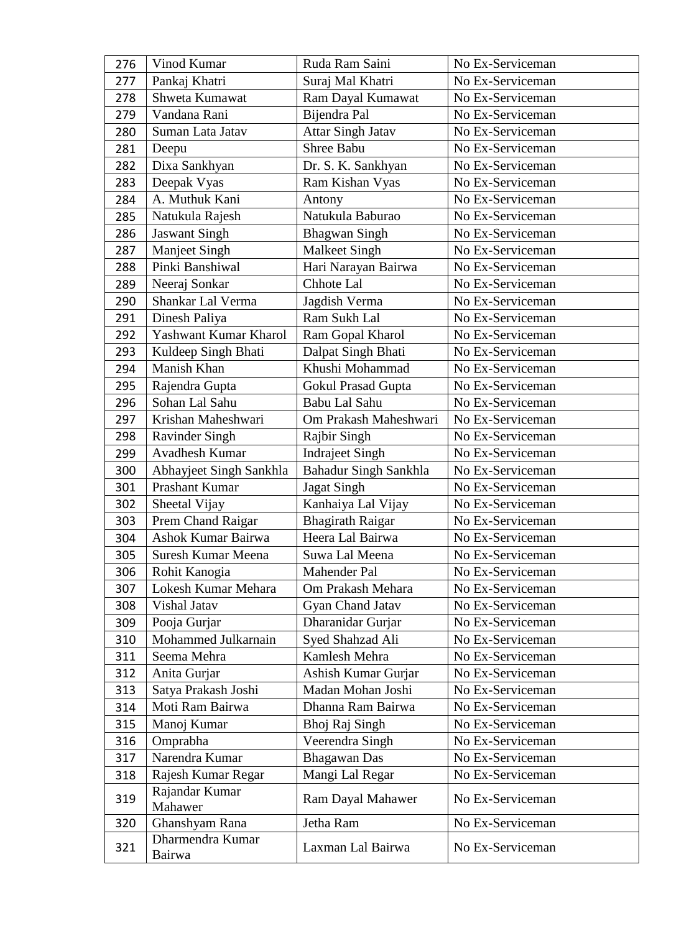| 276 | Vinod Kumar               | Ruda Ram Saini               | No Ex-Serviceman |
|-----|---------------------------|------------------------------|------------------|
| 277 | Pankaj Khatri             | Suraj Mal Khatri             | No Ex-Serviceman |
| 278 | Shweta Kumawat            | Ram Dayal Kumawat            | No Ex-Serviceman |
| 279 | Vandana Rani              | Bijendra Pal                 | No Ex-Serviceman |
| 280 | Suman Lata Jatav          | Attar Singh Jatav            | No Ex-Serviceman |
| 281 | Deepu                     | Shree Babu                   | No Ex-Serviceman |
| 282 | Dixa Sankhyan             | Dr. S. K. Sankhyan           | No Ex-Serviceman |
| 283 | Deepak Vyas               | Ram Kishan Vyas              | No Ex-Serviceman |
| 284 | A. Muthuk Kani            | Antony                       | No Ex-Serviceman |
| 285 | Natukula Rajesh           | Natukula Baburao             | No Ex-Serviceman |
| 286 | <b>Jaswant Singh</b>      | <b>Bhagwan Singh</b>         | No Ex-Serviceman |
| 287 | Manjeet Singh             | <b>Malkeet Singh</b>         | No Ex-Serviceman |
| 288 | Pinki Banshiwal           | Hari Narayan Bairwa          | No Ex-Serviceman |
| 289 | Neeraj Sonkar             | Chhote Lal                   | No Ex-Serviceman |
| 290 | Shankar Lal Verma         | Jagdish Verma                | No Ex-Serviceman |
| 291 | Dinesh Paliya             | Ram Sukh Lal                 | No Ex-Serviceman |
| 292 | Yashwant Kumar Kharol     | Ram Gopal Kharol             | No Ex-Serviceman |
| 293 | Kuldeep Singh Bhati       | Dalpat Singh Bhati           | No Ex-Serviceman |
| 294 | Manish Khan               | Khushi Mohammad              | No Ex-Serviceman |
| 295 | Rajendra Gupta            | <b>Gokul Prasad Gupta</b>    | No Ex-Serviceman |
| 296 | Sohan Lal Sahu            | Babu Lal Sahu                | No Ex-Serviceman |
| 297 | Krishan Maheshwari        | Om Prakash Maheshwari        | No Ex-Serviceman |
| 298 | Ravinder Singh            | Rajbir Singh                 | No Ex-Serviceman |
| 299 | Avadhesh Kumar            | <b>Indrajeet Singh</b>       | No Ex-Serviceman |
| 300 | Abhayjeet Singh Sankhla   | <b>Bahadur Singh Sankhla</b> | No Ex-Serviceman |
| 301 | Prashant Kumar            | Jagat Singh                  | No Ex-Serviceman |
| 302 | Sheetal Vijay             | Kanhaiya Lal Vijay           | No Ex-Serviceman |
| 303 | Prem Chand Raigar         | <b>Bhagirath Raigar</b>      | No Ex-Serviceman |
| 304 | Ashok Kumar Bairwa        | Heera Lal Bairwa             | No Ex-Serviceman |
| 305 | <b>Suresh Kumar Meena</b> | Suwa Lal Meena               | No Ex-Serviceman |
| 306 | Rohit Kanogia             | Mahender Pal                 | No Ex-Serviceman |
| 307 | Lokesh Kumar Mehara       | Om Prakash Mehara            | No Ex-Serviceman |
| 308 | Vishal Jatav              | Gyan Chand Jatav             | No Ex-Serviceman |
| 309 | Pooja Gurjar              | Dharanidar Gurjar            | No Ex-Serviceman |
| 310 | Mohammed Julkarnain       | Syed Shahzad Ali             | No Ex-Serviceman |
| 311 | Seema Mehra               | Kamlesh Mehra                | No Ex-Serviceman |
| 312 | Anita Gurjar              | Ashish Kumar Gurjar          | No Ex-Serviceman |
| 313 | Satya Prakash Joshi       | Madan Mohan Joshi            | No Ex-Serviceman |
| 314 | Moti Ram Bairwa           | Dhanna Ram Bairwa            | No Ex-Serviceman |
| 315 | Manoj Kumar               | Bhoj Raj Singh               | No Ex-Serviceman |
| 316 | Omprabha                  | Veerendra Singh              | No Ex-Serviceman |
| 317 | Narendra Kumar            | <b>Bhagawan</b> Das          | No Ex-Serviceman |
| 318 | Rajesh Kumar Regar        | Mangi Lal Regar              | No Ex-Serviceman |
| 319 | Rajandar Kumar            | Ram Dayal Mahawer            | No Ex-Serviceman |
|     | Mahawer                   |                              |                  |
| 320 | Ghanshyam Rana            | Jetha Ram                    | No Ex-Serviceman |
| 321 | Dharmendra Kumar          | Laxman Lal Bairwa            | No Ex-Serviceman |
|     | Bairwa                    |                              |                  |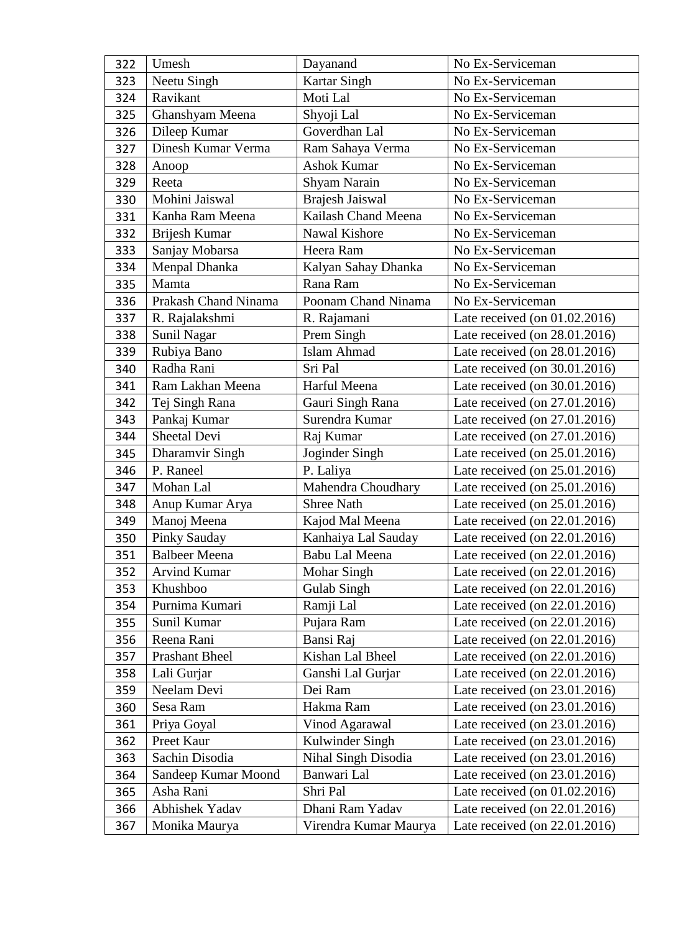| 322 | Umesh                 | Dayanand              | No Ex-Serviceman                 |
|-----|-----------------------|-----------------------|----------------------------------|
| 323 | Neetu Singh           | <b>Kartar Singh</b>   | No Ex-Serviceman                 |
| 324 | Ravikant              | Moti Lal              | No Ex-Serviceman                 |
| 325 | Ghanshyam Meena       | Shyoji Lal            | No Ex-Serviceman                 |
| 326 | Dileep Kumar          | Goverdhan Lal         | No Ex-Serviceman                 |
| 327 | Dinesh Kumar Verma    | Ram Sahaya Verma      | No Ex-Serviceman                 |
| 328 | Anoop                 | <b>Ashok Kumar</b>    | No Ex-Serviceman                 |
| 329 | Reeta                 | Shyam Narain          | No Ex-Serviceman                 |
| 330 | Mohini Jaiswal        | Brajesh Jaiswal       | No Ex-Serviceman                 |
| 331 | Kanha Ram Meena       | Kailash Chand Meena   | No Ex-Serviceman                 |
| 332 | Brijesh Kumar         | Nawal Kishore         | No Ex-Serviceman                 |
| 333 | Sanjay Mobarsa        | Heera Ram             | No Ex-Serviceman                 |
| 334 | Menpal Dhanka         | Kalyan Sahay Dhanka   | No Ex-Serviceman                 |
| 335 | Mamta                 | Rana Ram              | No Ex-Serviceman                 |
| 336 | Prakash Chand Ninama  | Poonam Chand Ninama   | No Ex-Serviceman                 |
| 337 | R. Rajalakshmi        | R. Rajamani           | Late received (on $01.02.2016$ ) |
| 338 | Sunil Nagar           | Prem Singh            | Late received (on 28.01.2016)    |
| 339 | Rubiya Bano           | <b>Islam Ahmad</b>    | Late received (on 28.01.2016)    |
| 340 | Radha Rani            | Sri Pal               | Late received (on 30.01.2016)    |
| 341 | Ram Lakhan Meena      | Harful Meena          | Late received (on 30.01.2016)    |
| 342 | Tej Singh Rana        | Gauri Singh Rana      | Late received (on 27.01.2016)    |
| 343 | Pankaj Kumar          | Surendra Kumar        | Late received (on 27.01.2016)    |
| 344 | Sheetal Devi          | Raj Kumar             | Late received (on 27.01.2016)    |
| 345 | Dharamvir Singh       | Joginder Singh        | Late received (on 25.01.2016)    |
| 346 | P. Raneel             | P. Laliya             | Late received (on 25.01.2016)    |
| 347 | Mohan Lal             | Mahendra Choudhary    | Late received (on 25.01.2016)    |
| 348 | Anup Kumar Arya       | <b>Shree Nath</b>     | Late received (on 25.01.2016)    |
| 349 | Manoj Meena           | Kajod Mal Meena       | Late received (on 22.01.2016)    |
| 350 | Pinky Sauday          | Kanhaiya Lal Sauday   | Late received (on 22.01.2016)    |
| 351 | <b>Balbeer Meena</b>  | Babu Lal Meena        | Late received (on 22.01.2016)    |
| 352 | <b>Arvind Kumar</b>   | Mohar Singh           | Late received (on 22.01.2016)    |
| 353 | Khushboo              | Gulab Singh           | Late received (on 22.01.2016)    |
| 354 | Purnima Kumari        | Ramji Lal             | Late received (on 22.01.2016)    |
| 355 | Sunil Kumar           | Pujara Ram            | Late received (on 22.01.2016)    |
| 356 | Reena Rani            | Bansi Raj             | Late received (on 22.01.2016)    |
| 357 | <b>Prashant Bheel</b> | Kishan Lal Bheel      | Late received (on 22.01.2016)    |
| 358 | Lali Gurjar           | Ganshi Lal Gurjar     | Late received (on 22.01.2016)    |
| 359 | Neelam Devi           | Dei Ram               | Late received (on 23.01.2016)    |
| 360 | Sesa Ram              | Hakma Ram             | Late received (on 23.01.2016)    |
| 361 | Priya Goyal           | Vinod Agarawal        | Late received (on 23.01.2016)    |
| 362 | Preet Kaur            | Kulwinder Singh       | Late received (on 23.01.2016)    |
| 363 | Sachin Disodia        | Nihal Singh Disodia   | Late received (on 23.01.2016)    |
| 364 | Sandeep Kumar Moond   | Banwari Lal           | Late received (on 23.01.2016)    |
| 365 | Asha Rani             | Shri Pal              | Late received (on 01.02.2016)    |
| 366 | Abhishek Yadav        | Dhani Ram Yadav       | Late received (on 22.01.2016)    |
| 367 | Monika Maurya         | Virendra Kumar Maurya | Late received (on 22.01.2016)    |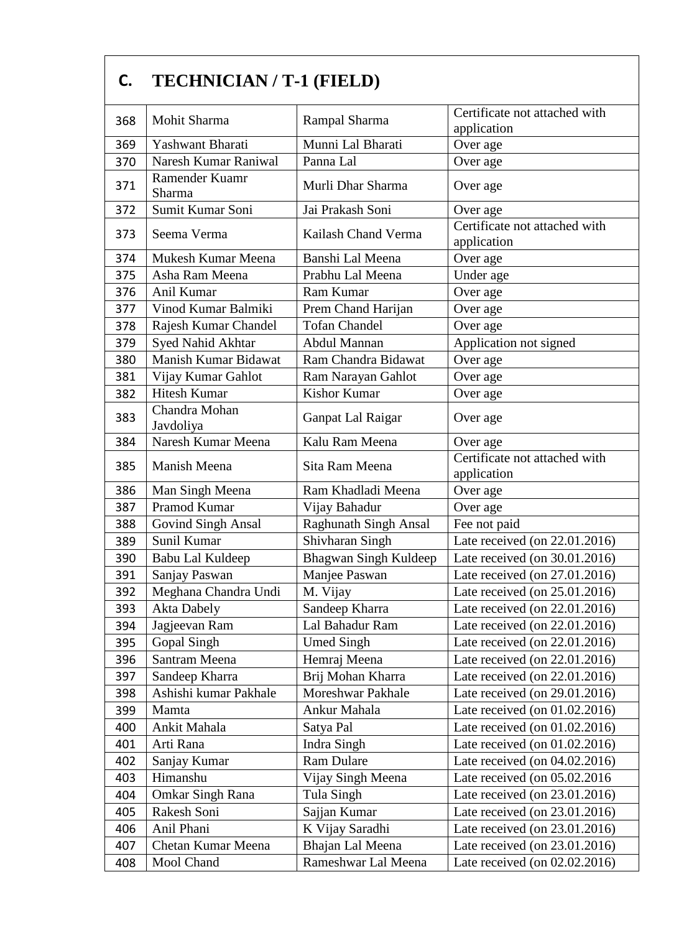| C.  | <b>TECHNICIAN / T-1 (FIELD)</b> |                              |                                              |
|-----|---------------------------------|------------------------------|----------------------------------------------|
| 368 | Mohit Sharma                    | Rampal Sharma                | Certificate not attached with<br>application |
| 369 | Yashwant Bharati                | Munni Lal Bharati            | Over age                                     |
| 370 | Naresh Kumar Raniwal            | Panna Lal                    | Over age                                     |
| 371 | Ramender Kuamr<br>Sharma        | Murli Dhar Sharma            | Over age                                     |
| 372 | Sumit Kumar Soni                | Jai Prakash Soni             | Over age                                     |
| 373 | Seema Verma                     | Kailash Chand Verma          | Certificate not attached with<br>application |
| 374 | Mukesh Kumar Meena              | Banshi Lal Meena             | Over age                                     |
| 375 | Asha Ram Meena                  | Prabhu Lal Meena             | Under age                                    |
| 376 | Anil Kumar                      | Ram Kumar                    | Over age                                     |
| 377 | Vinod Kumar Balmiki             | Prem Chand Harijan           | Over age                                     |
| 378 | Rajesh Kumar Chandel            | <b>Tofan Chandel</b>         | Over age                                     |
| 379 | Syed Nahid Akhtar               | <b>Abdul Mannan</b>          | Application not signed                       |
| 380 | Manish Kumar Bidawat            | Ram Chandra Bidawat          | Over age                                     |
| 381 | Vijay Kumar Gahlot              | Ram Narayan Gahlot           | Over age                                     |
| 382 | <b>Hitesh Kumar</b>             | <b>Kishor Kumar</b>          | Over age                                     |
| 383 | Chandra Mohan<br>Javdoliya      | Ganpat Lal Raigar            | Over age                                     |
| 384 | Naresh Kumar Meena              | Kalu Ram Meena               | Over age                                     |
| 385 | Manish Meena                    | Sita Ram Meena               | Certificate not attached with<br>application |
| 386 | Man Singh Meena                 | Ram Khadladi Meena           | Over age                                     |
| 387 | Pramod Kumar                    | Vijay Bahadur                | Over age                                     |
| 388 | Govind Singh Ansal              | <b>Raghunath Singh Ansal</b> | Fee not paid                                 |
| 389 | Sunil Kumar                     | Shivharan Singh              | Late received (on 22.01.2016)                |
| 390 | Babu Lal Kuldeep                | Bhagwan Singh Kuldeep        | Late received (on 30.01.2016)                |
| 391 | Sanjay Paswan                   | Manjee Paswan                | Late received (on 27.01.2016)                |
| 392 | Meghana Chandra Undi            | M. Vijay                     | Late received (on 25.01.2016)                |
| 393 | <b>Akta Dabely</b>              | Sandeep Kharra               | Late received (on 22.01.2016)                |
| 394 | Jagjeevan Ram                   | Lal Bahadur Ram              | Late received (on 22.01.2016)                |
| 395 | Gopal Singh                     | <b>Umed Singh</b>            | Late received (on 22.01.2016)                |
| 396 | Santram Meena                   | Hemraj Meena                 | Late received (on 22.01.2016)                |
| 397 | Sandeep Kharra                  | Brij Mohan Kharra            | Late received (on 22.01.2016)                |
| 398 | Ashishi kumar Pakhale           | Moreshwar Pakhale            | Late received (on 29.01.2016)                |
| 399 | Mamta                           | Ankur Mahala                 | Late received (on $01.02.2016$ )             |
| 400 | Ankit Mahala                    | Satya Pal                    | Late received (on $01.02.2016$ )             |
| 401 | Arti Rana                       | Indra Singh                  | Late received (on 01.02.2016)                |
| 402 | Sanjay Kumar                    | Ram Dulare                   | Late received (on $04.02.2016$ )             |
| 403 | Himanshu                        | Vijay Singh Meena            | Late received (on $05.02.2016$ )             |
| 404 | <b>Omkar Singh Rana</b>         | Tula Singh                   | Late received (on 23.01.2016)                |
| 405 | Rakesh Soni                     | Sajjan Kumar                 | Late received (on 23.01.2016)                |
| 406 | Anil Phani                      | K Vijay Saradhi              | Late received (on 23.01.2016)                |
| 407 | Chetan Kumar Meena              | Bhajan Lal Meena             | Late received (on 23.01.2016)                |
| 408 | Mool Chand                      | Rameshwar Lal Meena          | Late received (on 02.02.2016)                |
|     |                                 |                              |                                              |